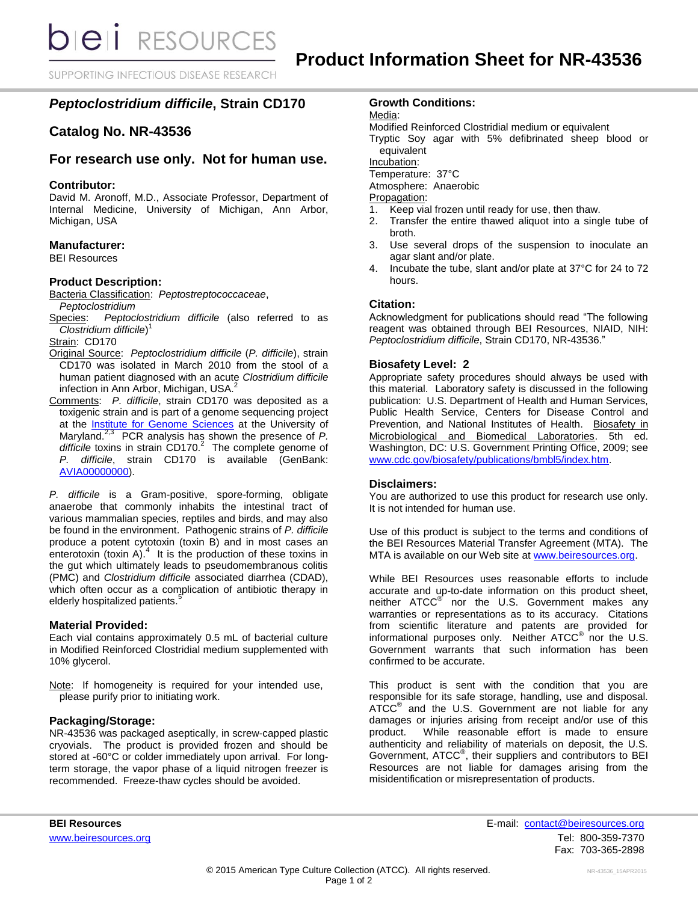**bieli** RESOURCES

SUPPORTING INFECTIOUS DISEASE RESEARCH

# *Peptoclostridium difficile***, Strain CD170**

# **Catalog No. NR-43536**

# **For research use only. Not for human use.**

### **Contributor:**

David M. Aronoff, M.D., Associate Professor, Department of Internal Medicine, University of Michigan, Ann Arbor, Michigan, USA

#### **Manufacturer:**

BEI Resources

#### **Product Description:**

Bacteria Classification: *Peptostreptococcaceae*, *Peptoclostridium*

Species: *Peptoclostridium difficile* (also referred to as *Clostridium difficile*) 1

Strain: CD170

- Original Source: *Peptoclostridium difficile* (*P. difficile*), strain CD170 was isolated in March 2010 from the stool of a human patient diagnosed with an acute *Clostridium difficile* infection in Ann Arbor, Michigan, USA. 2
- Comments: *P. difficile*, strain CD170 was deposited as a toxigenic strain and is part of a genome sequencing project at the [Institute for Genome Sciences](http://www.igs.umaryland.edu/) at the University of Maryland.2,3 PCR analysis has shown the presence of *P. difficile* toxins in strain CD170. 2 The complete genome of *P. difficile*, strain CD170 is available (GenBank: [AVIA00000000\)](http://www.ncbi.nlm.nih.gov/nuccore/AVIA00000000).

*P. difficile* is a Gram-positive, spore-forming, obligate anaerobe that commonly inhabits the intestinal tract of various mammalian species, reptiles and birds, and may also be found in the environment. Pathogenic strains of *P. difficile* produce a potent cytotoxin (toxin B) and in most cases an enterotoxin (toxin A). $4$  It is the production of these toxins in the gut which ultimately leads to pseudomembranous colitis (PMC) and *Clostridium difficile* associated diarrhea (CDAD), which often occur as a complication of antibiotic therapy in elderly hospitalized patients.<sup>5</sup>

#### **Material Provided:**

Each vial contains approximately 0.5 mL of bacterial culture in Modified Reinforced Clostridial medium supplemented with 10% glycerol.

Note: If homogeneity is required for your intended use, please purify prior to initiating work.

#### **Packaging/Storage:**

NR-43536 was packaged aseptically, in screw-capped plastic cryovials. The product is provided frozen and should be stored at -60°C or colder immediately upon arrival. For longterm storage, the vapor phase of a liquid nitrogen freezer is recommended. Freeze-thaw cycles should be avoided.

## **Growth Conditions:**

Media:

Modified Reinforced Clostridial medium or equivalent

Tryptic Soy agar with 5% defibrinated sheep blood or equivalent

Incubation:

Temperature: 37°C

Atmosphere: Anaerobic

Propagation:

- 1. Keep vial frozen until ready for use, then thaw.
- 2. Transfer the entire thawed aliquot into a single tube of broth.
- 3. Use several drops of the suspension to inoculate an agar slant and/or plate.
- 4. Incubate the tube, slant and/or plate at 37°C for 24 to 72 hours.

### **Citation:**

Acknowledgment for publications should read "The following reagent was obtained through BEI Resources, NIAID, NIH: *Peptoclostridium difficile*, Strain CD170, NR-43536."

#### **Biosafety Level: 2**

Appropriate safety procedures should always be used with this material. Laboratory safety is discussed in the following publication: U.S. Department of Health and Human Services, Public Health Service, Centers for Disease Control and Prevention, and National Institutes of Health. Biosafety in Microbiological and Biomedical Laboratories. 5th ed. Washington, DC: U.S. Government Printing Office, 2009; see [www.cdc.gov/biosafety/publications/bmbl5/index.htm.](http://www.cdc.gov/biosafety/publications/bmbl5/index.htm)

#### **Disclaimers:**

You are authorized to use this product for research use only. It is not intended for human use.

Use of this product is subject to the terms and conditions of the BEI Resources Material Transfer Agreement (MTA). The MTA is available on our Web site at [www.beiresources.org.](http://www.beiresources.org/)

While BEI Resources uses reasonable efforts to include accurate and up-to-date information on this product sheet, neither ATCC<sup>®</sup> nor the U.S. Government makes any warranties or representations as to its accuracy. Citations from scientific literature and patents are provided for informational purposes only. Neither  $ATCC^{\circledast}$  nor the U.S. Government warrants that such information has been confirmed to be accurate.

This product is sent with the condition that you are responsible for its safe storage, handling, use and disposal. ATCC<sup>®</sup> and the U.S. Government are not liable for any damages or injuries arising from receipt and/or use of this product. While reasonable effort is made to ensure authenticity and reliability of materials on deposit, the U.S. Government, ATCC® , their suppliers and contributors to BEI Resources are not liable for damages arising from the misidentification or misrepresentation of products.

**BEI Resources** E-mail: contact@beiresources.org [www.beiresources.org](http://www.beiresources.org/) **Tel: 800-359-7370** Fax: 703-365-2898